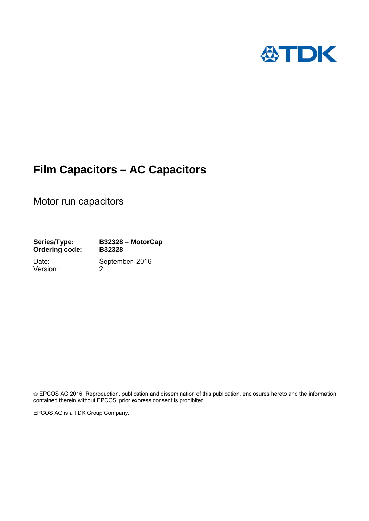

# **Film Capacitors – AC Capacitors**

Motor run capacitors

**Series/Type: B32328 – MotorCap Ordering code: B32328** 

Version: 2

Date: September 2016

 EPCOS AG 2016. Reproduction, publication and dissemination of this publication, enclosures hereto and the information contained therein without EPCOS' prior express consent is prohibited.

EPCOS AG is a TDK Group Company.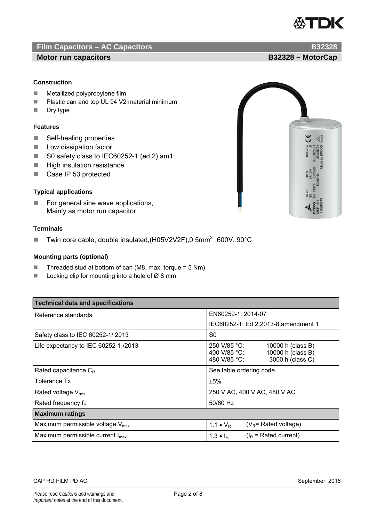

# **Film Capacitors – AC Capacitors B32328**

### **Motor run capacitors and all and all and all and all and all and all and all and all and B32328 – MotorCap and All and All and All and All and All and All and All and All and All and All and All and All and All and All an**

### **Construction**

- **Metallized polypropylene film**
- Plastic can and top UL 94 V2 material minimum
- **Dry type**

#### **Features**

- Self-healing properties
- **Low dissipation factor**
- S0 safety class to IEC60252-1 (ed.2) am1:
- **High insulation resistance**
- Case IP 53 protected

### **Typical applications**

 $\blacksquare$  For general sine wave applications, Mainly as motor run capacitor

### **Terminals**

■ Twin core cable, double insulated, (H05V2V2F), 0.5mm<sup>2</sup>, 600V, 90°C

#### **Mounting parts (optional)**

- Threaded stud at bottom of can (M8, max. torque =  $5 \text{ Nm}$ )
- Locking clip for mounting into a hole of  $\varnothing$  8 mm

| <b>Technical data and specifications</b>     |                                                                                                            |  |  |  |  |
|----------------------------------------------|------------------------------------------------------------------------------------------------------------|--|--|--|--|
| Reference standards                          | EN60252-1: 2014-07                                                                                         |  |  |  |  |
|                                              | IEC60252-1: Ed 2,2013-8, amendment 1                                                                       |  |  |  |  |
| Safety class to IEC 60252-1/2013             | S0                                                                                                         |  |  |  |  |
| Life expectancy to IEC 60252-1 /2013         | 250 V/85 °C:<br>10000 h (class B)<br>10000 h (class B)<br>400 V/85 °C:<br>3000 h (class C)<br>480 V/85 °C: |  |  |  |  |
| Rated capacitance $C_R$                      | See table ordering code                                                                                    |  |  |  |  |
| Tolerance Tx                                 | ±5%                                                                                                        |  |  |  |  |
| Rated voltage $V_{\text{rms}}$               | 250 V AC, 400 V AC, 480 V AC                                                                               |  |  |  |  |
| Rated frequency $f_R$                        | 50/60 Hz                                                                                                   |  |  |  |  |
| <b>Maximum ratings</b>                       |                                                                                                            |  |  |  |  |
| Maximum permissible voltage $V_{\text{max}}$ | $(V_R =$ Rated voltage)<br>1.1 $\bullet$ $V_R$                                                             |  |  |  |  |
| Maximum permissible current $I_{\text{max}}$ | $(I_{\rm R}$ = Rated current)<br>1.3 $\bullet$ $I_R$                                                       |  |  |  |  |

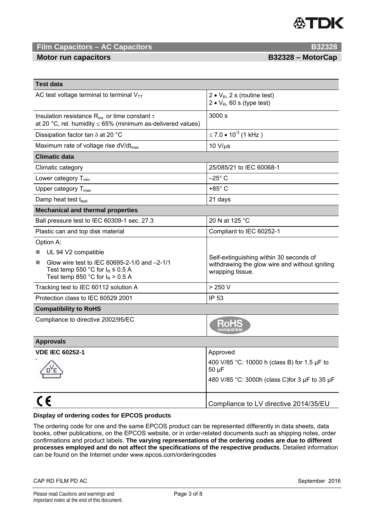# **ATDK**

# **Film Capacitors – AC Capacitors B32328**

**Motor run capacitors and all contracts of the B32328 – MotorCap** 

| <b>Test data</b>                                                                                                                                       |                                                                                                               |  |  |
|--------------------------------------------------------------------------------------------------------------------------------------------------------|---------------------------------------------------------------------------------------------------------------|--|--|
| AC test voltage terminal to terminal $V_{TT}$                                                                                                          | 2 • $V_R$ , 2 s (routine test)<br>2 • $V_R$ , 60 s (type test)                                                |  |  |
| Insulation resistance R <sub>ins</sub> or time constant $\tau$<br>at 20 °C, rel. humidity $\leq$ 65% (minimum as-delivered values)                     | 3000 s                                                                                                        |  |  |
| Dissipation factor tan $\delta$ at 20 °C                                                                                                               | $\leq$ 7.0 $\bullet$ 10 <sup>-3</sup> (1 kHz )                                                                |  |  |
| Maximum rate of voltage rise $dV/dt_{max}$                                                                                                             | $10 V/\mu s$                                                                                                  |  |  |
| <b>Climatic data</b>                                                                                                                                   |                                                                                                               |  |  |
| Climatic category                                                                                                                                      | 25/085/21 to IEC 60068-1                                                                                      |  |  |
| Lower category $T_{min}$                                                                                                                               | $-25^\circ$ C                                                                                                 |  |  |
| Upper category $T_{\text{max}}$                                                                                                                        | $+85^\circ$ C                                                                                                 |  |  |
| Damp heat test $t_{test}$                                                                                                                              | 21 days                                                                                                       |  |  |
| <b>Mechanical and thermal properties</b>                                                                                                               |                                                                                                               |  |  |
| Ball pressure test to IEC 60309-1 sec. 27.3                                                                                                            | 20 N at 125 °C                                                                                                |  |  |
| Plastic can and top disk material                                                                                                                      | Compliant to IEC 60252-1                                                                                      |  |  |
| Option A:                                                                                                                                              |                                                                                                               |  |  |
| UL 94 V2 compatible<br>Glow wire test to IEC 60695-2-1/0 and -2-1/1<br>×<br>Test temp 550 °C for $I_R \le 0.5$ A<br>Test temp 850 °C for $I_R$ > 0.5 A | Self-extinguishing within 30 seconds of<br>withdrawing the glow wire and without igniting<br>wrapping tissue. |  |  |
| Tracking test to IEC 60112 solution A                                                                                                                  | > 250 V                                                                                                       |  |  |
| Protection class to IEC 60529 2001                                                                                                                     | <b>IP 53</b>                                                                                                  |  |  |
| <b>Compatibility to RoHS</b>                                                                                                                           |                                                                                                               |  |  |
| Compliance to directive 2002/95/EC                                                                                                                     | <b>RoHS</b>                                                                                                   |  |  |
| <b>Approvals</b>                                                                                                                                       |                                                                                                               |  |  |
| <b>VDE IEC 60252-1</b>                                                                                                                                 | Approved                                                                                                      |  |  |
|                                                                                                                                                        | 400 V/85 °C: 10000 h (class B) for 1.5 µF to<br>$50 \mu F$<br>480 V/85 °C: 3000h (class C)for 3 µF to 35 µF   |  |  |
| C€                                                                                                                                                     | Compliance to LV directive 2014/35/EU                                                                         |  |  |

#### **Display of ordering codes for EPCOS products**

The ordering code for one and the same EPCOS product can be represented differently in data sheets, data books, other publications, on the EPCOS website, or in order-related documents such as shipping notes, order confirmations and product labels. **The varying representations of the ordering codes are due to different processes employed and do not affect the specifications of the respective products**. Detailed information can be found on the Internet under www.epcos.com/orderingcodes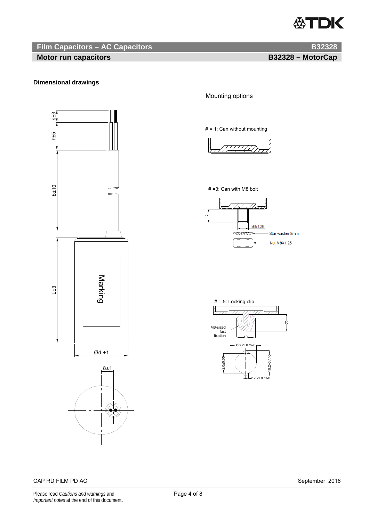# ∰TDK

## **Film Capacitors – AC Capacitors B32328 B32328**

# **Motor run capacitors and all and all and all and all and all and all and all and all and B32328 – MotorCap and A**

### **Dimensional drawings**



### Mounting options

# = 1: Can without mounting



#### # =3: Can with M8 bolt



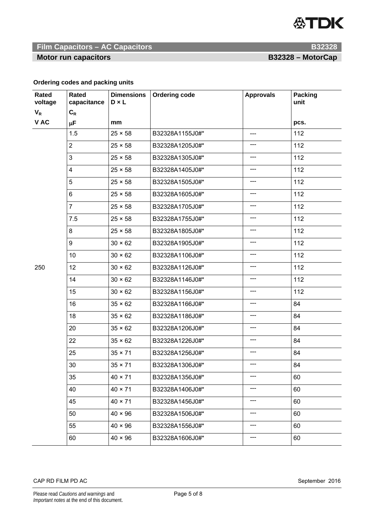# **公TDK**

## **Film Capacitors – AC Capacitors B32328 <b>B32328**

**Motor run capacitors and all and all and all and all and all and all and all and all and B32328 – MotorCap and A** 

### **Ordering codes and packing units**

| Rated<br>voltage | <b>Rated</b><br>capacitance | <b>Dimensions</b><br>$D \times L$ | <b>Ordering code</b> | <b>Approvals</b> | <b>Packing</b><br>unit |
|------------------|-----------------------------|-----------------------------------|----------------------|------------------|------------------------|
| $V_R$            | $\mathbf{C}_{\mathsf{R}}$   |                                   |                      |                  |                        |
| V AC             | μF                          | mm                                |                      |                  | pcs.                   |
|                  | 1.5                         | $25 \times 58$                    | B32328A1155J0#*      | ---              | 112                    |
|                  | $\overline{2}$              | $25 \times 58$                    | B32328A1205J0#*      | ---              | 112                    |
|                  | 3                           | $25 \times 58$                    | B32328A1305J0#*      | ---              | 112                    |
|                  | 4                           | $25 \times 58$                    | B32328A1405J0#*      | ---              | 112                    |
|                  | 5                           | $25 \times 58$                    | B32328A1505J0#*      | ---              | 112                    |
|                  | $\,6\,$                     | $25 \times 58$                    | B32328A1605J0#*      | ---              | 112                    |
|                  | $\overline{7}$              | $25 \times 58$                    | B32328A1705J0#*      | ---              | 112                    |
|                  | 7.5                         | $25 \times 58$                    | B32328A1755J0#*      | ---              | 112                    |
|                  | 8                           | $25 \times 58$                    | B32328A1805J0#*      | ---              | 112                    |
| 250              | 9                           | $30 \times 62$                    | B32328A1905J0#*      | ---              | 112                    |
|                  | 10                          | $30 \times 62$                    | B32328A1106J0#*      | ---              | 112                    |
|                  | 12                          | $30 \times 62$                    | B32328A1126J0#*      | $---$            | 112                    |
|                  | 14                          | $30 \times 62$                    | B32328A1146J0#*      | ---              | 112                    |
|                  | 15                          | $30 \times 62$                    | B32328A1156J0#*      | ---              | 112                    |
|                  | 16                          | $35 \times 62$                    | B32328A1166J0#*      | ---              | 84                     |
|                  | 18                          | $35 \times 62$                    | B32328A1186J0#*      | ---              | 84                     |
|                  | 20                          | $35 \times 62$                    | B32328A1206J0#*      | ---              | 84                     |
|                  | 22                          | $35 \times 62$                    | B32328A1226J0#*      | ---              | 84                     |
|                  | 25                          | $35 \times 71$                    | B32328A1256J0#*      | ---              | 84                     |
|                  | 30                          | $35 \times 71$                    | B32328A1306J0#*      | ---              | 84                     |
|                  | 35                          | $40 \times 71$                    | B32328A1356J0#*      | ---              | 60                     |
|                  | 40                          | $40 \times 71$                    | B32328A1406J0#*      | ---              | 60                     |
|                  | 45                          | $40 \times 71$                    | B32328A1456J0#*      | ---              | 60                     |
|                  | 50                          | $40 \times 96$                    | B32328A1506J0#*      | ---              | 60                     |
|                  | 55                          | $40 \times 96$                    | B32328A1556J0#*      | ---              | 60                     |
|                  | 60                          | $40 \times 96$                    | B32328A1606J0#*      | ---              | 60                     |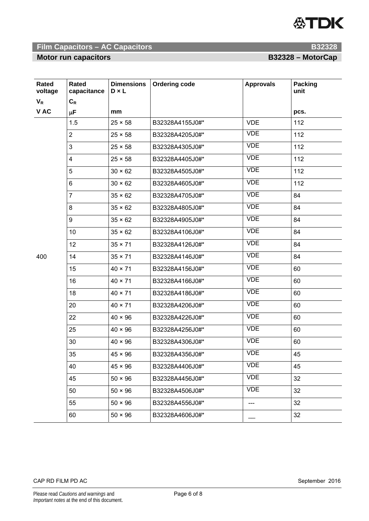

# **Film Capacitors – AC Capacitors B32328**

**Motor run capacitors and all and all and all and all and all and all and all and all and B32328 – MotorCap and A** 

| Rated<br>voltage | Rated<br>capacitance    | <b>Dimensions</b><br>$D \times L$ | <b>Ordering code</b> | <b>Approvals</b> | <b>Packing</b><br>unit |
|------------------|-------------------------|-----------------------------------|----------------------|------------------|------------------------|
| $V_R$            | $C_R$                   |                                   |                      |                  |                        |
| V AC             | μF                      | mm                                |                      |                  | pcs.                   |
| 400              | 1.5                     | $25 \times 58$                    | B32328A4155J0#*      | <b>VDE</b>       | 112                    |
|                  | $\overline{2}$          | $25 \times 58$                    | B32328A4205J0#*      | <b>VDE</b>       | 112                    |
|                  | 3                       | $25 \times 58$                    | B32328A4305J0#*      | <b>VDE</b>       | 112                    |
|                  | $\overline{\mathbf{4}}$ | $25 \times 58$                    | B32328A4405J0#*      | <b>VDE</b>       | 112                    |
|                  | 5                       | $30 \times 62$                    | B32328A4505J0#*      | <b>VDE</b>       | 112                    |
|                  | 6                       | $30 \times 62$                    | B32328A4605J0#*      | <b>VDE</b>       | 112                    |
|                  | $\overline{7}$          | $35 \times 62$                    | B32328A4705J0#*      | <b>VDE</b>       | 84                     |
|                  | 8                       | $35 \times 62$                    | B32328A4805J0#*      | <b>VDE</b>       | 84                     |
|                  | 9                       | $35 \times 62$                    | B32328A4905J0#*      | <b>VDE</b>       | 84                     |
|                  | 10                      | $35 \times 62$                    | B32328A4106J0#*      | <b>VDE</b>       | 84                     |
|                  | 12                      | $35 \times 71$                    | B32328A4126J0#*      | <b>VDE</b>       | 84                     |
|                  | 14                      | $35 \times 71$                    | B32328A4146J0#*      | <b>VDE</b>       | 84                     |
|                  | 15                      | $40 \times 71$                    | B32328A4156J0#*      | <b>VDE</b>       | 60                     |
|                  | 16                      | $40 \times 71$                    | B32328A4166J0#*      | <b>VDE</b>       | 60                     |
|                  | 18                      | $40 \times 71$                    | B32328A4186J0#*      | <b>VDE</b>       | 60                     |
|                  | 20                      | $40 \times 71$                    | B32328A4206J0#*      | <b>VDE</b>       | 60                     |
|                  | 22                      | $40 \times 96$                    | B32328A4226J0#*      | <b>VDE</b>       | 60                     |
|                  | 25                      | $40 \times 96$                    | B32328A4256J0#*      | <b>VDE</b>       | 60                     |
|                  | 30                      | $40 \times 96$                    | B32328A4306J0#*      | <b>VDE</b>       | 60                     |
|                  | 35                      | $45 \times 96$                    | B32328A4356J0#*      | VDE              | 45                     |
|                  | 40                      | $45 \times 96$                    | B32328A4406J0#*      | <b>VDE</b>       | 45                     |
|                  | 45                      | $50 \times 96$                    | B32328A4456J0#*      | <b>VDE</b>       | 32                     |
|                  | 50                      | $50 \times 96$                    | B32328A4506J0#*      | <b>VDE</b>       | 32                     |
|                  | 55                      | $50 \times 96$                    | B32328A4556J0#*      | ---              | 32                     |
|                  | 60                      | $50 \times 96$                    | B32328A4606J0#*      |                  | 32                     |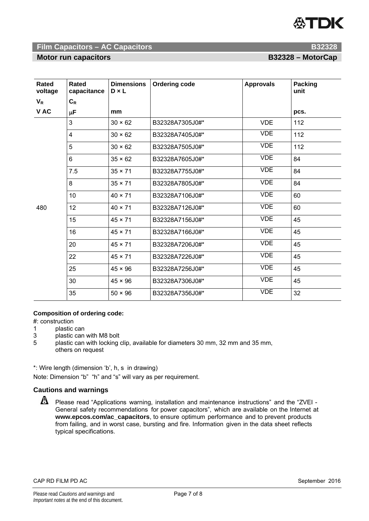

# **Film Capacitors – AC Capacitors B32328**

**Motor run capacitors and all contracts of the B32328 – MotorCap** 

| <b>Rated</b><br>voltage | Rated<br>capacitance | <b>Dimensions</b><br>$D \times L$ | Ordering code   | <b>Approvals</b> | <b>Packing</b><br>unit |
|-------------------------|----------------------|-----------------------------------|-----------------|------------------|------------------------|
| $V_R$                   | $C_R$                |                                   |                 |                  |                        |
| V AC                    | μF                   | mm                                |                 |                  | pcs.                   |
| 480                     | 3                    | $30 \times 62$                    | B32328A7305J0#* | <b>VDE</b>       | 112                    |
|                         | $\overline{4}$       | $30 \times 62$                    | B32328A7405J0#* | <b>VDE</b>       | 112                    |
|                         | 5                    | $30 \times 62$                    | B32328A7505J0#* | <b>VDE</b>       | 112                    |
|                         | 6                    | $35 \times 62$                    | B32328A7605J0#* | <b>VDE</b>       | 84                     |
|                         | 7.5                  | $35 \times 71$                    | B32328A7755J0#* | <b>VDE</b>       | 84                     |
|                         | 8                    | $35 \times 71$                    | B32328A7805J0#* | <b>VDE</b>       | 84                     |
|                         | 10                   | $40 \times 71$                    | B32328A7106J0#* | <b>VDE</b>       | 60                     |
|                         | 12                   | $40 \times 71$                    | B32328A7126J0#* | <b>VDE</b>       | 60                     |
|                         | 15                   | $45 \times 71$                    | B32328A7156J0#* | <b>VDE</b>       | 45                     |
|                         | 16                   | $45 \times 71$                    | B32328A7166J0#* | <b>VDE</b>       | 45                     |
|                         | 20                   | $45 \times 71$                    | B32328A7206J0#* | <b>VDE</b>       | 45                     |
|                         | 22                   | $45 \times 71$                    | B32328A7226J0#* | <b>VDE</b>       | 45                     |
|                         | 25                   | $45 \times 96$                    | B32328A7256J0#* | <b>VDE</b>       | 45                     |
|                         | 30                   | $45 \times 96$                    | B32328A7306J0#* | <b>VDE</b>       | 45                     |
|                         | 35                   | $50 \times 96$                    | B32328A7356J0#* | <b>VDE</b>       | 32                     |

#### **Composition of ordering code:**

#: construction

- 1 plastic can<br>3 plastic can
- plastic can with M8 bolt
- 5 plastic can with locking clip, available for diameters 30 mm, 32 mm and 35 mm, others on request

\*: Wire length (dimension 'b', h, s in drawing)

Note: Dimension "b" "h" and "s" will vary as per requirement.

### **Cautions and warnings**

**A** Please read "Applications warning, installation and maintenance instructions" and the "ZVEI -General safety recommendations for power capacitors", which are available on the Internet at **www.epcos.com/ac\_capacitors**, to ensure optimum performance and to prevent products from failing, and in worst case, bursting and fire. Information given in the data sheet reflects typical specifications.